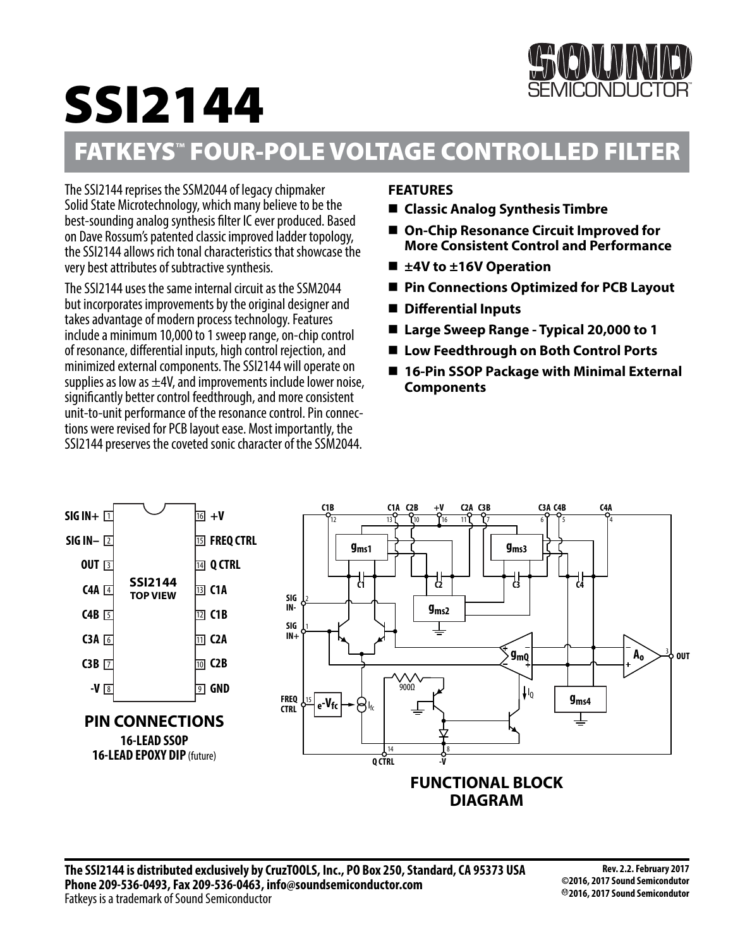# SSI2144



# FATKEYS**™** FOUR-POLE VOLTAGE CONTROLLED FILTER

The SSI2144 reprises the SSM2044 of legacy chipmaker Solid State Microtechnology, which many believe to be the best-sounding analog synthesis filter IC ever produced. Based on Dave Rossum's patented classic improved ladder topology, the SSI2144 allows rich tonal characteristics that showcase the very best attributes of subtractive synthesis.

The SSI2144 uses the same internal circuit as the SSM2044 but incorporates improvements by the original designer and takes advantage of modern process technology. Features include a minimum 10,000 to 1 sweep range, on-chip control of resonance, differential inputs, high control rejection, and minimized external components. The SSI2144 will operate on supplies as low as  $\pm$ 4V, and improvements include lower noise, significantly better control feedthrough, and more consistent unit-to-unit performance of the resonance control. Pin connections were revised for PCB layout ease. Most importantly, the SSI2144 preserves the coveted sonic character of the SSM2044.

# **FEATURES**

- **Classic Analog Synthesis Timbre**
- On-Chip Resonance Circuit Improved for **More Consistent Control and Performance**
- **±4V to ±16V Operation**
- **Pin Connections Optimized for PCB Layout**
- **Differential Inputs**
- Large Sweep Range Typical 20,000 to 1
- Low Feedthrough on Both Control Ports
- 16-Pin SSOP Package with Minimal External **Components**

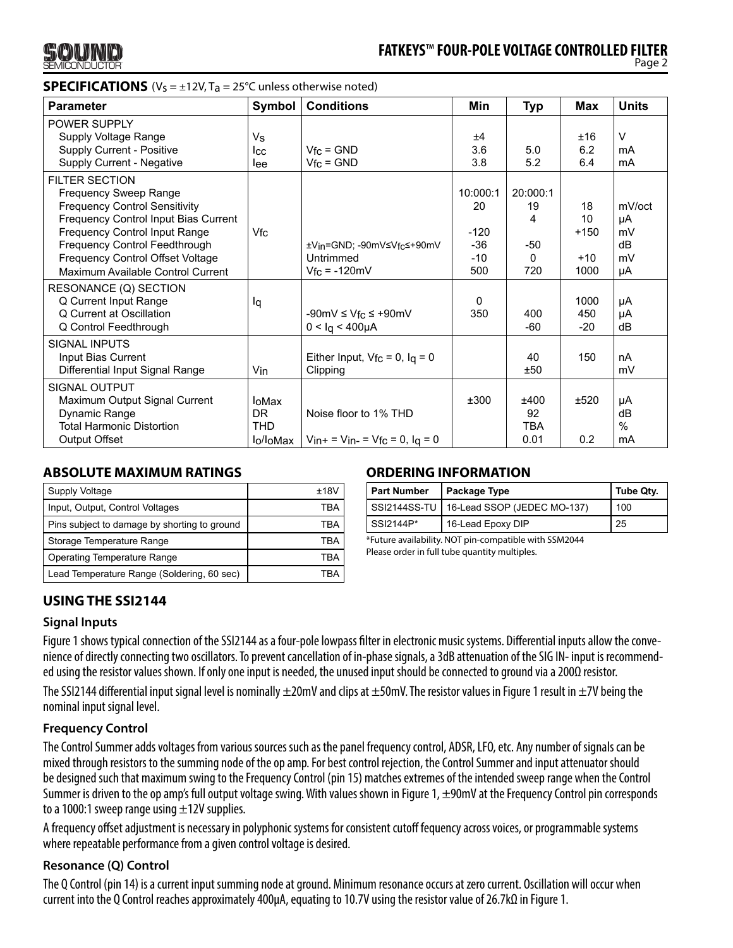

### **SPECIFICATIONS**  $(V_S = \pm 12V, T_a = 25^{\circ}C$  unless otherwise noted)

| <b>Parameter</b>                                                                                                                                                                                                                                                                 | <b>Symbol</b>                          | <b>Conditions</b>                                                     | Min                                               | <b>Typ</b>                               | Max                                 | <b>Units</b>                         |
|----------------------------------------------------------------------------------------------------------------------------------------------------------------------------------------------------------------------------------------------------------------------------------|----------------------------------------|-----------------------------------------------------------------------|---------------------------------------------------|------------------------------------------|-------------------------------------|--------------------------------------|
| POWER SUPPLY<br>Supply Voltage Range<br>Supply Current - Positive<br>Supply Current - Negative                                                                                                                                                                                   | Vs<br>lcc<br>lee                       | $Vfc = GND$<br>$V_{\text{fc}}$ = GND                                  | ±4<br>3.6<br>3.8                                  | 5.0<br>5.2                               | ±16<br>6.2<br>6.4                   | $\vee$<br>mA<br>mA                   |
| <b>FILTER SECTION</b><br><b>Frequency Sweep Range</b><br><b>Frequency Control Sensitivity</b><br>Frequency Control Input Bias Current<br>Frequency Control Input Range<br>Frequency Control Feedthrough<br>Frequency Control Offset Voltage<br>Maximum Available Control Current | Vfc                                    | ±Vin=GND: -90mV≤Vfc≤+90mV<br>Untrimmed<br>$Vfc = -120mV$              | 10:000:1<br>20<br>$-120$<br>$-36$<br>$-10$<br>500 | 20:000:1<br>19<br>4<br>$-50$<br>0<br>720 | 18<br>10<br>$+150$<br>$+10$<br>1000 | mV/oct<br>μA<br>mV<br>dB<br>mV<br>μA |
| RESONANCE (Q) SECTION<br>Q Current Input Range<br>Q Current at Oscillation<br>Q Control Feedthrough                                                                                                                                                                              | lq                                     | $-90mV \leq V_{\text{fc}} \leq +90mV$<br>$0 < Iq < 400 \mu A$         | 0<br>350                                          | 400<br>$-60$                             | 1000<br>450<br>$-20$                | μA<br>μA<br>dB                       |
| <b>SIGNAL INPUTS</b><br>Input Bias Current<br>Differential Input Signal Range                                                                                                                                                                                                    | Vin                                    | Either Input, $Vfc = 0$ , $lq = 0$<br>Clipping                        |                                                   | 40<br>±50                                | 150                                 | nA<br>mV                             |
| <b>SIGNAL OUTPUT</b><br>Maximum Output Signal Current<br>Dynamic Range<br><b>Total Harmonic Distortion</b><br><b>Output Offset</b>                                                                                                                                               | loMax<br>DR.<br><b>THD</b><br>lo/loMax | Noise floor to 1% THD<br>$V_{in+} = V_{in-} = V_{fc} = 0$ , $I_q = 0$ | ±300                                              | ±400<br>92<br><b>TBA</b><br>0.01         | ±520<br>0.2                         | μA<br>dB<br>$\%$<br>mA               |

#### **ABSOLUTE MAXIMUM RATINGS**

| Supply Voltage                               | +18V |
|----------------------------------------------|------|
| Input, Output, Control Voltages              | TRA  |
| Pins subject to damage by shorting to ground | TRA  |
| Storage Temperature Range                    | TRA  |
| <b>Operating Temperature Range</b>           | TRA  |
| Lead Temperature Range (Soldering, 60 sec)   | TRA  |

#### **ORDERING INFORMATION**

| <b>Part Number</b> | Package Type                               | Tube Qty. |  |
|--------------------|--------------------------------------------|-----------|--|
|                    | SSI2144SS-TU   16-Lead SSOP (JEDEC MO-137) | 100       |  |
| SSI2144P*          | 16-Lead Epoxy DIP                          | 25        |  |

\*Future availability. NOT pin-compatible with SSM2044 Please order in full tube quantity multiples.

# **USING THE SSI2144**

#### **Signal Inputs**

Figure 1 shows typical connection of the SSI2144 as a four-pole lowpass filter in electronic music systems. Differential inputs allow the convenience of directly connecting two oscillators. To prevent cancellation of in-phase signals, a 3dB attenuation of the SIG IN- input is recommended using the resistor values shown. If only one input is needed, the unused input should be connected to ground via a 200Ω resistor.

The SSI2144 differential input signal level is nominally  $\pm 20$ mV and clips at  $\pm 50$ mV. The resistor values in Figure 1 result in  $\pm 7$ V being the nominal input signal level.

# **Frequency Control**

The Control Summer adds voltages from various sources such as the panel frequency control, ADSR, LFO, etc. Any number of signals can be mixed through resistors to the summing node of the op amp. For best control rejection, the Control Summer and input attenuator should be designed such that maximum swing to the Frequency Control (pin 15) matches extremes of the intended sweep range when the Control Summer is driven to the op amp's full output voltage swing. With values shown in Figure 1,  $\pm$ 90mV at the Frequency Control pin corresponds to a 1000:1 sweep range using  $\pm$ 12V supplies.

A frequency offset adjustment is necessary in polyphonic systems for consistent cutoff fequency across voices, or programmable systems where repeatable performance from a given control voltage is desired.

#### **Resonance (Q) Control**

The Q Control (pin 14) is a current input summing node at ground. Minimum resonance occurs at zero current. Oscillation will occur when current into the Q Control reaches approximately 400µA, equating to 10.7V using the resistor value of 26.7kΩ in Figure 1.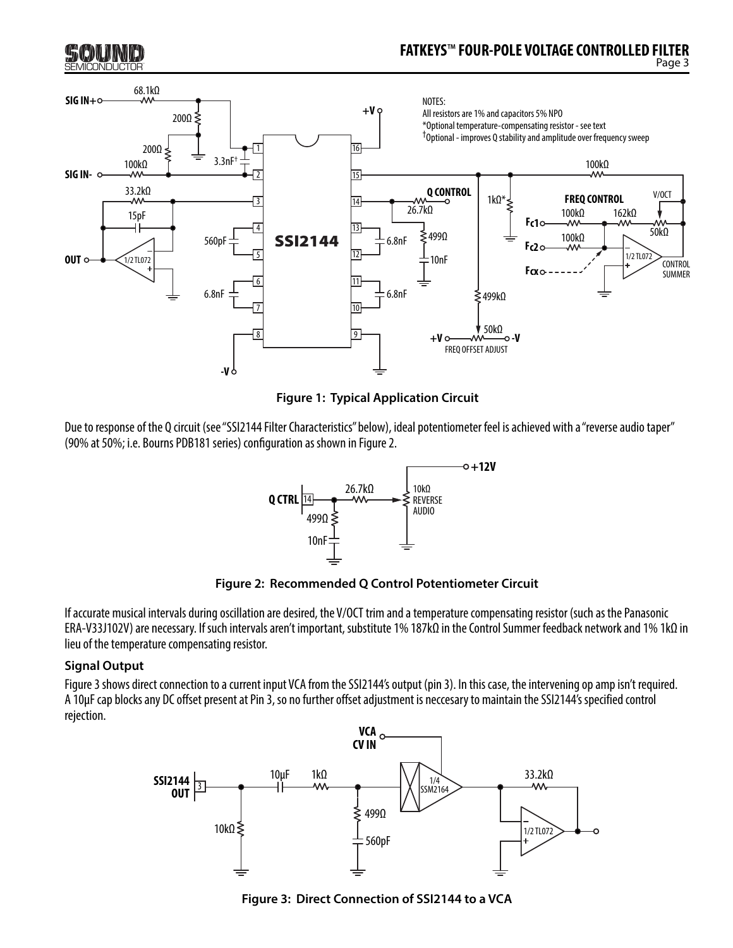

**Figure 1: Typical Application Circuit**

Due to response of the Q circuit (see "SSI2144 Filter Characteristics" below), ideal potentiometer feel is achieved with a "reverse audio taper" (90% at 50%; i.e. Bourns PDB181 series) configuration as shown in Figure 2.





If accurate musical intervals during oscillation are desired, the V/OCT trim and a temperature compensating resistor (such as the Panasonic ERA-V33J102V) are necessary. If such intervals aren't important, substitute 1% 187kΩ in the Control Summer feedback network and 1% 1kΩ in lieu of the temperature compensating resistor.

# **Signal Output**

Figure 3 shows direct connection to a current input VCA from the SSI2144's output (pin 3). In this case, the intervening op amp isn't required. A 10µF cap blocks any DC offset present at Pin 3, so no further offset adjustment is neccesary to maintain the SSI2144's specified control rejection.



**Figure 3: Direct Connection of SSI2144 to a VCA**